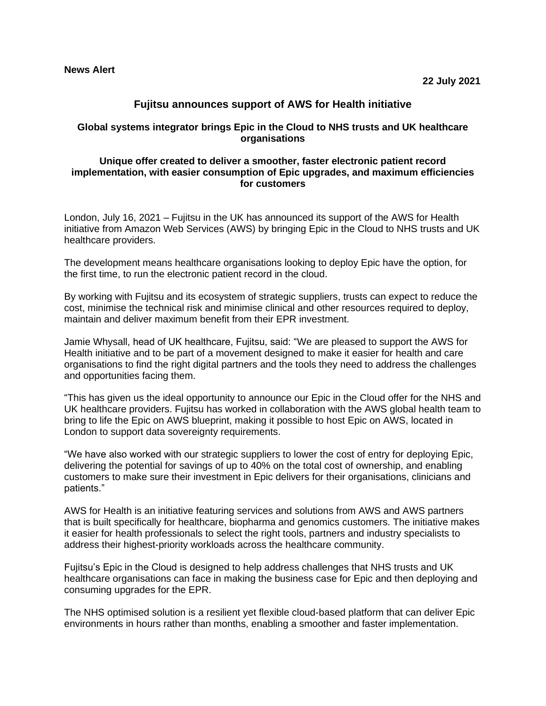# **Fujitsu announces support of AWS for Health initiative**

## **Global systems integrator brings Epic in the Cloud to NHS trusts and UK healthcare organisations**

### **Unique offer created to deliver a smoother, faster electronic patient record implementation, with easier consumption of Epic upgrades, and maximum efficiencies for customers**

London, July 16, 2021 – Fujitsu in the UK has announced its support of the AWS for Health initiative from Amazon Web Services (AWS) by bringing Epic in the Cloud to NHS trusts and UK healthcare providers.

The development means healthcare organisations looking to deploy Epic have the option, for the first time, to run the electronic patient record in the cloud.

By working with Fujitsu and its ecosystem of strategic suppliers, trusts can expect to reduce the cost, minimise the technical risk and minimise clinical and other resources required to deploy, maintain and deliver maximum benefit from their EPR investment.

Jamie Whysall, head of UK healthcare, Fujitsu, said: "We are pleased to support the AWS for Health initiative and to be part of a movement designed to make it easier for health and care organisations to find the right digital partners and the tools they need to address the challenges and opportunities facing them.

"This has given us the ideal opportunity to announce our Epic in the Cloud offer for the NHS and UK healthcare providers. Fujitsu has worked in collaboration with the AWS global health team to bring to life the Epic on AWS blueprint, making it possible to host Epic on AWS, located in London to support data sovereignty requirements.

"We have also worked with our strategic suppliers to lower the cost of entry for deploying Epic, delivering the potential for savings of up to 40% on the total cost of ownership, and enabling customers to make sure their investment in Epic delivers for their organisations, clinicians and patients."

AWS for Health is an initiative featuring services and solutions from AWS and AWS partners that is built specifically for healthcare, biopharma and genomics customers. The initiative makes it easier for health professionals to select the right tools, partners and industry specialists to address their highest-priority workloads across the healthcare community.

Fujitsu's Epic in the Cloud is designed to help address challenges that NHS trusts and UK healthcare organisations can face in making the business case for Epic and then deploying and consuming upgrades for the EPR.

The NHS optimised solution is a resilient yet flexible cloud-based platform that can deliver Epic environments in hours rather than months, enabling a smoother and faster implementation.